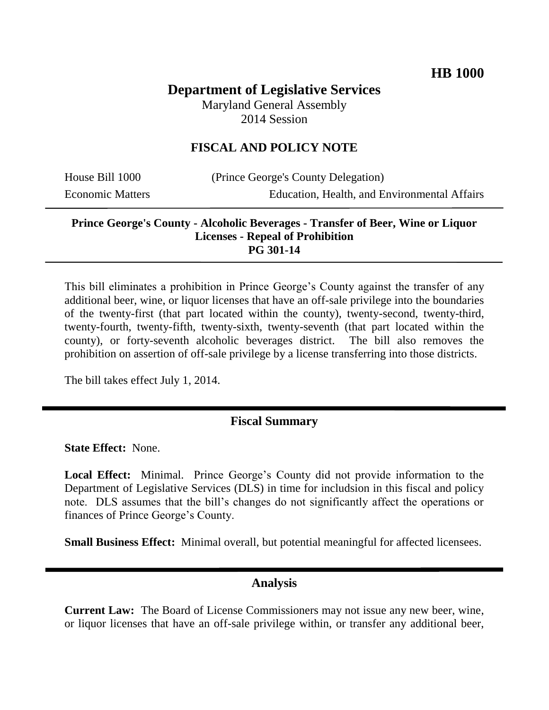# **Department of Legislative Services**

Maryland General Assembly 2014 Session

#### **FISCAL AND POLICY NOTE**

House Bill 1000 (Prince George's County Delegation) Economic Matters Education, Health, and Environmental Affairs

#### **Prince George's County - Alcoholic Beverages - Transfer of Beer, Wine or Liquor Licenses - Repeal of Prohibition PG 301-14**

This bill eliminates a prohibition in Prince George's County against the transfer of any additional beer, wine, or liquor licenses that have an off-sale privilege into the boundaries of the twenty-first (that part located within the county), twenty-second, twenty-third, twenty-fourth, twenty-fifth, twenty-sixth, twenty-seventh (that part located within the county), or forty-seventh alcoholic beverages district. The bill also removes the prohibition on assertion of off-sale privilege by a license transferring into those districts.

The bill takes effect July 1, 2014.

## **Fiscal Summary**

**State Effect:** None.

**Local Effect:** Minimal. Prince George's County did not provide information to the Department of Legislative Services (DLS) in time for includsion in this fiscal and policy note. DLS assumes that the bill's changes do not significantly affect the operations or finances of Prince George's County.

**Small Business Effect:** Minimal overall, but potential meaningful for affected licensees.

#### **Analysis**

**Current Law:** The Board of License Commissioners may not issue any new beer, wine, or liquor licenses that have an off-sale privilege within, or transfer any additional beer,